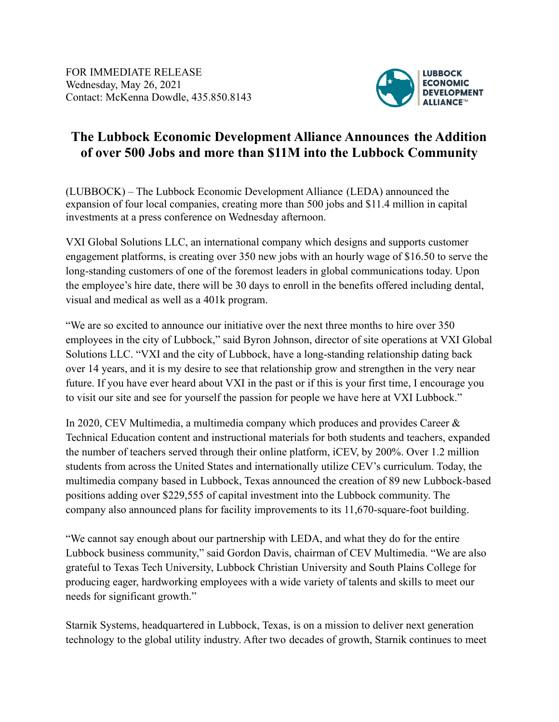

## **The Lubbock Economic Development Alliance Announces the Addition of over 500 Jobs and more than \$11M into the Lubbock Community**

(LUBBOCK) – The Lubbock Economic Development Alliance (LEDA) announced the expansion of four local companies, creating more than 500 jobs and \$11.4 million in capital investments at a press conference on Wednesday afternoon.

VXI Global Solutions LLC, an international company which designs and supports customer engagement platforms, is creating over 350 new jobs with an hourly wage of \$16.50 to serve the long-standing customers of one of the foremost leaders in global communications today. Upon the employee's hire date, there will be 30 days to enroll in the benefits offered including dental, visual and medical as well as a 401k program.

"We are so excited to announce our initiative over the next three months to hire over 350 employees in the city of Lubbock," said Byron Johnson, director of site operations at VXI Global Solutions LLC. "VXI and the city of Lubbock, have a long-standing relationship dating back over 14 years, and it is my desire to see that relationship grow and strengthen in the very near future. If you have ever heard about VXI in the past or if this is your first time, I encourage you to visit our site and see for yourself the passion for people we have here at VXI Lubbock."

In 2020, CEV Multimedia, a multimedia company which produces and provides Career & Technical Education content and instructional materials for both students and teachers, expanded the number of teachers served through their online platform, iCEV, by 200%. Over 1.2 million students from across the United States and internationally utilize CEV's curriculum. Today, the multimedia company based in Lubbock, Texas announced the creation of 89 new Lubbock-based positions adding over \$229,555 of capital investment into the Lubbock community. The company also announced plans for facility improvements to its 11,670-square-foot building.

"We cannot say enough about our partnership with LEDA, and what they do for the entire Lubbock business community," said Gordon Davis, chairman of CEV Multimedia. "We are also grateful to Texas Tech University, Lubbock Christian University and South Plains College for producing eager, hardworking employees with a wide variety of talents and skills to meet our needs for significant growth."

Starnik Systems, headquartered in Lubbock, Texas, is on a mission to deliver next generation technology to the global utility industry. After two decades of growth, Starnik continues to meet